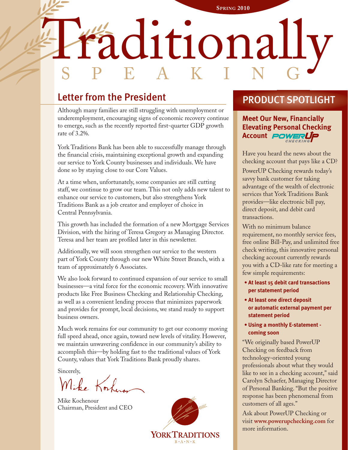# Traditionally **SPRING 2010** SPEAKING

## Letter from the President

Although many families are still struggling with unemployment or underemployment, encouraging signs of economic recovery continue to emerge, such as the recently reported first-quarter GDP growth rate of 3.2%.

York Traditions Bank has been able to successfully manage through the financial crisis, maintaining exceptional growth and expanding our service to York County businesses and individuals. We have done so by staying close to our Core Values.

At a time when, unfortunately, some companies are still cutting staff, we continue to grow our team. This not only adds new talent to enhance our service to customers, but also strengthens York Traditions Bank as a job creator and employer of choice in Central Pennsylvania.

This growth has included the formation of a new Mortgage Services Division, with the hiring of Teresa Gregory as Managing Director. Teresa and her team are profiled later in this newsletter.

Additionally, we will soon strengthen our service to the western part of York County through our new White Street Branch, with a team of approximately 6 Associates.

We also look forward to continued expansion of our service to small businesses—a vital force for the economic recovery. With innovative products like Free Business Checking and Relationship Checking, as well as a convenient lending process that minimizes paperwork and provides for prompt, local decisions, we stand ready to support business owners.

Much work remains for our community to get our economy moving full speed ahead, once again, toward new levels of vitality. However, we maintain unwavering confidence in our community's ability to accomplish this—by holding fast to the traditional values of York County, values that York Traditions Bank proudly shares.

Sincerely,

Mike Kosker

Mike Kochenour Chairman, President and CEO



## PRODUCT SPOTLIGHT

**Meet Our New, Financially Elevating Personal Checking** Account **POWERUP** 

Have you heard the news about the checking account that pays like a CD?

PowerUP Checking rewards today's savvy bank customer for taking advantage of the wealth of electronic services that York Traditions Bank provides—like electronic bill pay, direct deposit, and debit card transactions.

With no minimum balance requirement, no monthly service fees, free online Bill-Pay, and unlimited free check writing, this innovative personal checking account currently rewards you with a CD-like rate for meeting a few simple requirements:

- **At least 15 debit card transactions per statement period**
- **At least one direct deposit or automatic external payment per statement period**
- **Using a monthly E-statement coming soon**

"We originally based PowerUP Checking on feedback from technology-oriented young professionals about what they would like to see in a checking account," said Carolyn Schaefer, Managing Director of Personal Banking. "But the positive response has been phenomenal from customers of all ages."

Ask about PowerUP Checking or visit **www.powerupchecking.com** for more information.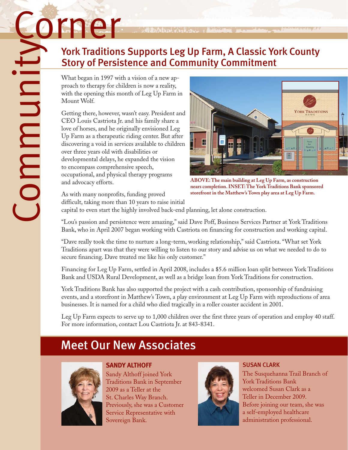What began in 1997 with a vision of a new approach to therapy for children is now a reality, with the opening this month of Leg Up Farm in Mount Wolf.

Getting there, however, wasn't easy. President and CEO Louis Castriota Jr. and his family share a love of horses, and he originally envisioned Leg Up Farm as a therapeutic riding center. But after discovering a void in services available to children over three years old with disabilities or developmental delays, he expanded the vision to encompass comprehensive speech, occupational, and physical therapy programs and advocacy efforts.

York Traditions Supports Leg Up Farm, A Classic York County<br>
Story of Persistence and Community Commitment<br>
What began in 1997 with a vision of a new ap-<br>
which the opening this month of Leg Up Farm in<br>
Mount Wolf.<br>
Octube **Example 1997**<br>
York Traditions Supports Leg Up Farm, A Classic York County<br>
Story of Persistence and Community Commitment<br>
What began in 1997 with a vision of a new are littly<br>
with the opening for thidden is now a realit

**ABOVE: The main building at Leg Up Farm, as construction nears completion. INSET: The York Traditions Bank sponsored storefront in the Matthew's Town play area at Leg Up Farm.**

As with many nonprofits, funding proved difficult, taking more than 10 years to raise initial

capital to even start the highly involved back-end planning, let alone construction.

"Lou's passion and persistence were amazing," said Dave Poff, Business Services Partner at York Traditions Bank, who in April 2007 began working with Castriota on financing for construction and working capital.

"Dave really took the time to nurture a long-term, working relationship," said Castriota. "What set York Traditions apart was that they were willing to listen to our story and advise us on what we needed to do to secure financing. Dave treated me like his only customer."

Financing for Leg Up Farm, settled in April 2008, includes a \$5.6 million loan split between York Traditions Bank and USDA Rural Development, as well as a bridge loan from York Traditions for construction.

York Traditions Bank has also supported the project with a cash contribution, sponsorship of fundraising events, and a storefront in Matthew's Town, a play environment at Leg Up Farm with reproductions of area businesses. It is named for a child who died tragically in a roller coaster accident in 2001.

Leg Up Farm expects to serve up to 1,000 children over the first three years of operation and employ 40 staff. For more information, contact Lou Castriota Jr. at 843-8341.

# Meet Our New Associates



#### **SANDY ALTHOFF**

Sandy Althoff joined York Traditions Bank in September 2009 as a Teller at the St. Charles Way Branch. Previously, she was a Customer Service Representative with Sovereign Bank.



### SUSAN CLARK

The Susquehanna Trail Branch of York Traditions Bank welcomed Susan Clark as a Teller in December 2009. Before joining our team, she was a self-employed healthcare administration professional.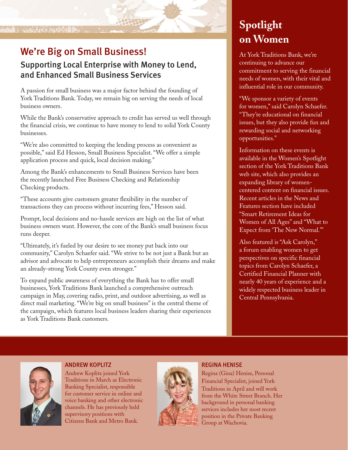#### I WAS SERVED WATER

## We're Big on Small Business!

#### Supporting Local Enterprise with Money to Lend, and Enhanced Small Business Services

A passion for small business was a major factor behind the founding of York Traditions Bank. Today, we remain big on serving the needs of local business owners.

While the Bank's conservative approach to credit has served us well through the financial crisis, we continue to have money to lend to solid York County businesses.

"We're also committed to keeping the lending process as convenient as possible," said Ed Hesson, Small Business Specialist. "We offer a simple application process and quick, local decision making."

Among the Bank's enhancements to Small Business Services have been the recently launched Free Business Checking and Relationship Checking products.

"These accounts give customers greater flexibility in the number of transactions they can process without incurring fees," Hesson said.

Prompt, local decisions and no-hassle services are high on the list of what business owners want. However, the core of the Bank's small business focus runs deeper.

"Ultimately, it's fueled by our desire to see money put back into our community," Carolyn Schaefer said. "We strive to be not just a Bank but an advisor and advocate to help entrepreneurs accomplish their dreams and make an already-strong York County even stronger."

To expand public awareness of everything the Bank has to offer small businesses, York Traditions Bank launched a comprehensive outreach campaign in May, covering radio, print, and outdoor advertising, as well as direct mail marketing. "We're big on small business" is the central theme of the campaign, which features local business leaders sharing their experiences as York Traditions Bank customers.

# **Spotlight on Women**

At York Traditions Bank, we're continuing to advance our commitment to serving the financial needs of women, with their vital and influential role in our community.

"We sponsor a variety of events for women," said Carolyn Schaefer. "They're educational on financial issues, but they also provide fun and rewarding social and networking opportunities."

Information on these events is available in the Women's Spotlight section of the York Traditions Bank web site, which also provides an expanding library of womencentered content on financial issues. Recent articles in the News and Features section have included "Smart Retirement Ideas for Women of All Ages" and "What to Expect from 'The New Normal.'"

Also featured is "Ask Carolyn," a forum enabling women to get perspectives on specific financial topics from Carolyn Schaefer, a Certified Financial Planner with nearly 40 years of experience and a widely respected business leader in Central Pennsylvania.



ANDREW KOPLITZ Andrew Koplitz joined York Traditions in March as Electronic Banking Specialist, responsible for customer service in online and voice banking and other electronic channels. He has previously held supervisory positions with Citizens Bank and Metro Bank.



#### REGINA HENISE

Regina (Gina) Henise, Personal Financial Specialist, joined York Traditions in April and will work from the White Street Branch. Her background in personal banking services includes her most recent position in the Private Banking Group at Wachovia.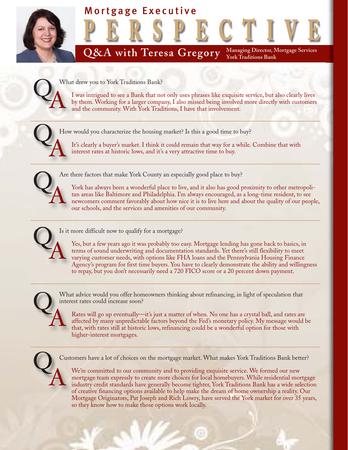

A What drew you to York Traditions Bank?

I was intrigued to see a Bank that not only uses phrases like exquisite service, but also clearly lives by them. Working for a larger company, I also missed being involved more directly with customers and the community. With York Traditions, I have that involvement.

Q<sup>HK</sup> How would you characterize the housing market? Is this a good time to buy?

It's clearly a buyer's market. I think it could remain that way for a while. Combine that with interest rates at historic lows, and it's a very attractive time to buy.



 $\overline{O}$ 

Are there factors that make York County an especially good place to buy?

York has always been a wonderful place to live, and it also has good proximity to other metropolitan areas like Baltimore and Philadelphia. I'm always encouraged, as a long-time resident, to see newcomers comment favorably about how nice it is to live here and about the quality of our people, our schools, and the services and amenities of our community.

 $Q_A^{^{Isi}}$ 

Is it more difficult now to qualify for a mortgage?

Yes, but a few years ago it was probably too easy. Mortgage lending has gone back to basics, in terms of sound underwriting and documentation standards. Yet there's still flexibility to meet varying customer needs, with options like FHA loans and the Pennsylvania Housing Finance Agency's program for first time buyers. You have to clearly demonstrate the ability and willingness to repay, but you don't necessarily need a 720 FICO score or a 20 percent down payment.

 $\overline{O}$ A

What advice would you offer homeowners thinking about refinancing, in light of speculation that interest rates could increase soon?

Rates will go up eventually—it's just a matter of when. No one has a crystal ball, and rates are affected by many unpredictable factors beyond the Fed's monetary policy. My message would be that, with rates still at historic lows, refinancing could be a wonderful option for those with higher-interest mortgages.

 $\overline{O}$ A

Customers have a lot of choices on the mortgage market. What makes York Traditions Bank better?

We're committed to our community and to providing exquisite service. We formed our new mortgage team expressly to create more choices for local homebuyers. While residential mortgage industry credit standards have generally become tighter, York Traditions Bank has a wide selection of creative financing options available to help make the dream of home ownership a reality. Our Mortgage Originators, Pat Joseph and Rich Lowry, have served the York market for over 35 years, so they know how to make those options work locally.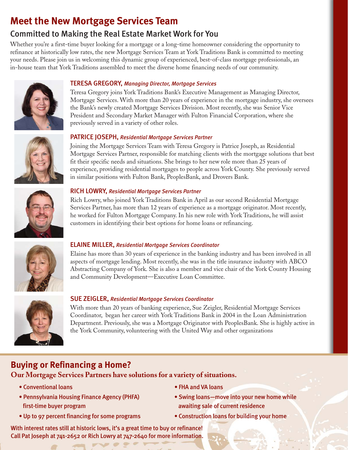## **Meet the New Mortgage Services Team**

## Committed to Making the Real Estate Market Work for You

Whether you're a first-time buyer looking for a mortgage or a long-time homeowner considering the opportunity to refinance at historically low rates, the new Mortgage Services Team at York Traditions Bank is committed to meeting your needs. Please join us in welcoming this dynamic group of experienced, best-of-class mortgage professionals, an in-house team that York Traditions assembled to meet the diverse home financing needs of our community.



#### TERESA GREGORY, *Managing Director, Mortgage Services*

Teresa Gregory joins York Traditions Bank's Executive Management as Managing Director, Mortgage Services. With more than 20 years of experience in the mortgage industry, she oversees the Bank's newly created Mortgage Services Division. Most recently, she was Senior Vice President and Secondary Market Manager with Fulton Financial Corporation, where she previously served in a variety of other roles.

#### PATRICE JOSEPH, *Residential Mortgage Services Partner*



Joining the Mortgage Services Team with Teresa Gregory is Patrice Joseph, as Residential Mortgage Services Partner, responsible for matching clients with the mortgage solutions that best fit their specific needs and situations. She brings to her new role more than 25 years of experience, providing residential mortgages to people across York County. She previously served in similar positions with Fulton Bank, PeoplesBank, and Drovers Bank.

#### RICH LOWRY, *Residential Mortgage Services Partner*

Rich Lowry, who joined York Traditions Bank in April as our second Residential Mortgage Services Partner, has more than 12 years of experience as a mortgage originator. Most recently, he worked for Fulton Mortgage Company. In his new role with York Traditions, he will assist customers in identifying their best options for home loans or refinancing.



#### ELAINE MILLER, *Residential Mortgage Services Coordinator*

Elaine has more than 30 years of experience in the banking industry and has been involved in all aspects of mortgage lending. Most recently, she was in the title insurance industry with ABCO Abstracting Company of York. She is also a member and vice chair of the York County Housing and Community Development—Executive Loan Committee.



#### SUE ZEIGLER, *Residential Mortgage Services Coordinator*

With more than 20 years of banking experience, Sue Zeigler, Residential Mortgage Services Coordinator, began her career with York Traditions Bank in 2004 in the Loan Administration Department. Previously, she was a Mortgage Originator with PeoplesBank. She is highly active in the York Community, volunteering with the United Way and other organizations

## **Buying or Refinancing a Home?**

**Our Mortgage Services Partners have solutions for a variety of situations.**

- Conventional loans FHA and VA loans
- Pennsylvania Housing Finance Agency (PHFA) Swing loans—move into your new home while first-time buyer program awaiting sale of current residence
- -
- Up to 97 percent financing for some programs Construction loans for building your home
- 

With interest rates still at historic lows, it's a great time to buy or refinance! Call Pat Joseph at 741-2652 or Rich Lowry at 747-2640 for more information.